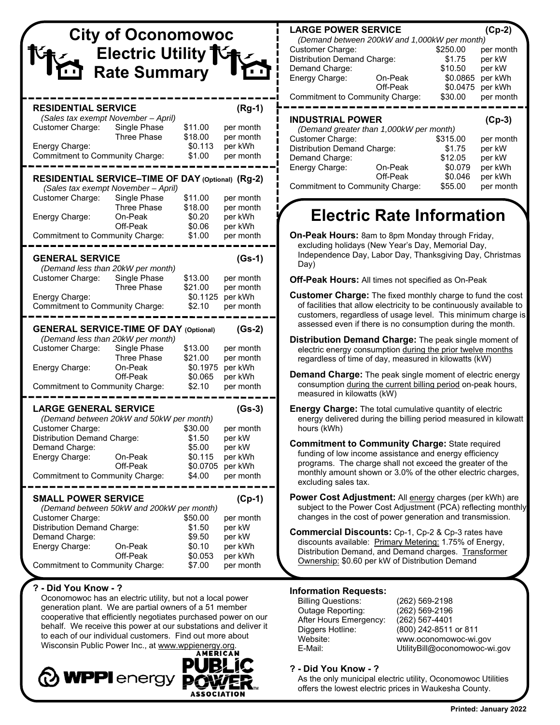|                                                                                                                                                                                                          | <b>City of Oconomowoc</b><br>Electric Utility 1G<br><b>Rate Summary</b> |                                                              |                                                                              |
|----------------------------------------------------------------------------------------------------------------------------------------------------------------------------------------------------------|-------------------------------------------------------------------------|--------------------------------------------------------------|------------------------------------------------------------------------------|
| <b>RESIDENTIAL SERVICE</b><br>(Sales tax exempt November - April)<br>Customer Charge:<br>Energy Charge:<br>Commitment to Community Charge:                                                               | Single Phase<br><b>Three Phase</b>                                      | \$11.00<br>\$18.00<br>\$0.113<br>\$1.00                      | $(Rg-1)$<br>per month<br>per month<br>per kWh<br>per month                   |
| RESIDENTIAL SERVICE-TIME OF DAY (Optional) (Rg-2)<br>(Sales tax exempt November - April)<br>Customer Charge:<br>Energy Charge:<br>Commitment to Community Charge:                                        | Single Phase<br><b>Three Phase</b><br>On-Peak<br>Off-Peak               | \$11.00<br>\$18.00<br>\$0.20<br>\$0.06<br>\$1.00             | per month<br>per month<br>per kWh<br>per kWh<br>per month                    |
| <b>GENERAL SERVICE</b><br>(Demand less than 20kW per month)<br>Customer Charge:<br>Energy Charge:<br>Commitment to Community Charge:                                                                     | Single Phase<br><b>Three Phase</b>                                      | \$13.00<br>\$21.00<br>\$0.1125<br>\$2.10                     | $(Gs-1)$<br>per month<br>per month<br>per kWh<br>per month                   |
| <b>GENERAL SERVICE-TIME OF DAY (Optional)</b><br>(Demand less than 20kW per month)<br>Customer Charge:<br>Energy Charge:<br>Commitment to Community Charge:                                              | Single Phase<br><b>Three Phase</b><br>On-Peak<br>Off-Peak               | \$13.00<br>\$21.00<br>\$0.1975<br>\$0.065<br>\$2.10          | $(Gs-2)$<br>per month<br>per month<br>per kWh<br>per kWh<br>per month        |
| <b>LARGE GENERAL SERVICE</b><br>(Demand between 20kW and 50kW per month)<br>Customer Charge:<br>Distribution Demand Charge:<br>Demand Charge:<br>Energy Charge:<br>Commitment to Community Charge:       | On-Peak<br>Off-Peak                                                     | \$30.00<br>\$1.50<br>\$5.00<br>\$0.115<br>\$0.0705<br>\$4.00 | $(Gs-3)$<br>per month<br>per kW<br>per kW<br>per kWh<br>per kWh<br>per month |
| <b>SMALL POWER SERVICE</b><br>(Demand between 50kW and 200kW per month)<br>Customer Charge:<br><b>Distribution Demand Charge:</b><br>Demand Charge:<br>Energy Charge:<br>Commitment to Community Charge: | On-Peak<br>Off-Peak                                                     | \$50.00<br>\$1.50<br>\$9.50<br>\$0.10<br>\$0.053<br>\$7.00   | $(Cp-1)$<br>per month<br>per kW<br>per kW<br>per kWh<br>per kWh<br>per month |

### **? - Did You Know - ?**

 Oconomowoc has an electric utility, but not a local power generation plant. We are partial owners of a 51 member cooperative that efficiently negotiates purchased power on our behalf. We receive this power at our substations and deliver it to each of our individual customers. Find out more about Wisconsin Public Power Inc., at www.wppienergy.org.



### **LARGE POWER SERVICE (Cp-2)**

| (Demand between 200kW and 1,000kW per month) |          |                  |           |
|----------------------------------------------|----------|------------------|-----------|
| <b>Customer Charge:</b>                      |          | \$250.00         | per month |
| <b>Distribution Demand Charge:</b>           |          | \$1.75           | per kW    |
| Demand Charge:                               |          | \$10.50          | per kW    |
| Energy Charge:                               | On-Peak  | \$0.0865 per kWh |           |
|                                              | Off-Peak | \$0.0475 per kWh |           |
| <b>Commitment to Community Charge:</b>       |          | \$30.00          | per month |

## **INDUSTRIAL POWER (Cp-3)**

| (Demand greater than 1,000kW per month) |          |          |           |  |
|-----------------------------------------|----------|----------|-----------|--|
| <b>Customer Charge:</b>                 |          | \$315.00 | per month |  |
| <b>Distribution Demand Charge:</b>      |          | \$1.75   | per kW    |  |
| Demand Charge:                          |          | \$12.05  | per kW    |  |
| Energy Charge:                          | On-Peak  | \$0.079  | per kWh   |  |
|                                         | Off-Peak | \$0.046  | per kWh   |  |
| Commitment to Community Charge:         |          | \$55.00  | per month |  |

# **Electric Rate Information**

**On-Peak Hours:** 8am to 8pm Monday through Friday, excluding holidays (New Year's Day, Memorial Day, Independence Day, Labor Day, Thanksgiving Day, Christmas Day)

**Off-Peak Hours:** All times not specified as On-Peak

- **Customer Charge:** The fixed monthly charge to fund the cost of facilities that allow electricity to be continuously available to customers, regardless of usage level. This minimum charge is assessed even if there is no consumption during the month.
- **Distribution Demand Charge:** The peak single moment of electric energy consumption during the prior twelve months regardless of time of day, measured in kilowatts (kW)
- **Demand Charge:** The peak single moment of electric energy consumption during the current billing period on-peak hours, measured in kilowatts (kW)
- **Energy Charge:** The total cumulative quantity of electric energy delivered during the billing period measured in kilowatt hours (kWh)
- **Commitment to Community Charge:** State required funding of low income assistance and energy efficiency programs. The charge shall not exceed the greater of the monthly amount shown or 3.0% of the other electric charges, excluding sales tax.
- **Power Cost Adjustment:** All energy charges (per kWh) are subject to the Power Cost Adjustment (PCA) reflecting monthly changes in the cost of power generation and transmission.
- **Commercial Discounts:** Cp-1, Cp-2 & Cp-3 rates have discounts available: Primary Metering: 1.75% of Energy, Distribution Demand, and Demand charges. Transformer Ownership: \$0.60 per kW of Distribution Demand

### **Information Requests:**

Billing Questions: (262) 569-2198 Outage Reporting: (262) 569-2196 After Hours Emergency: (262) 567-4401 Diggers Hotline: (800) 242-8511 or 811

Website: www.oconomowoc-wi.gov<br>E-Mail: UtilitvBill@oconomowoc-w UtilityBill@oconomowoc-wi.gov

#### **? - Did You Know - ?**

 As the only municipal electric utility, Oconomowoc Utilities offers the lowest electric prices in Waukesha County.